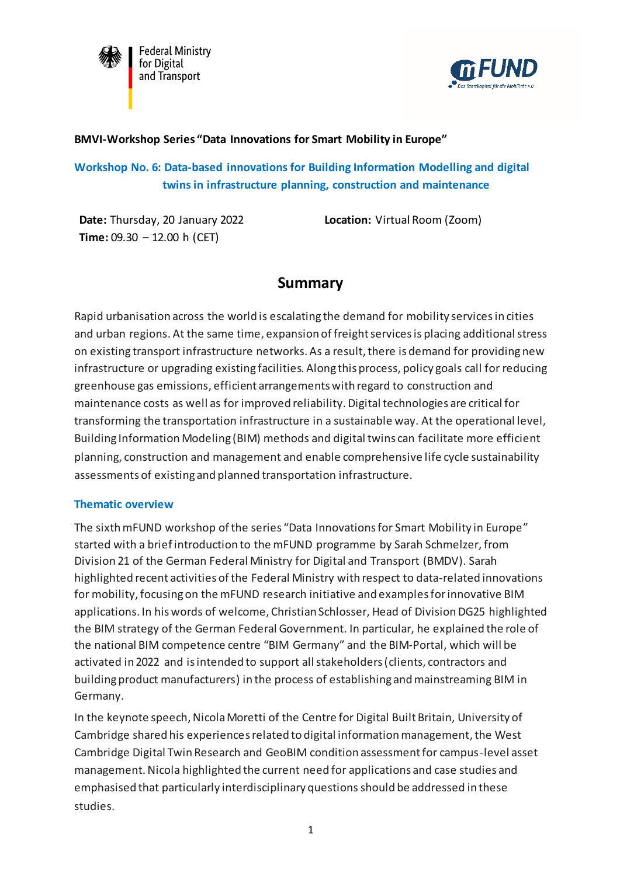

**Federal Ministry** for Digital and Transport



### **BMVI-Workshop Series "Data Innovations for Smart Mobility in Europe"**

**Workshop No. 6: Data-based innovations for Building Information Modelling and digital twins in infrastructure planning, construction and maintenance**

**Date:** Thursday, 20 January 2022 **Time:** 09.30 – 12.00 h (CET)

**Location:** Virtual Room (Zoom)

# **Summary**

Rapid urbanisation across the world is escalating the demand for mobility services in cities and urban regions. At the same time, expansion of freight services is placing additional stress on existing transport infrastructure networks. As a result, there is demand for providing new infrastructure or upgrading existing facilities. Along this process, policy goals call for reducing greenhouse gas emissions, efficient arrangements with regard to construction and maintenance costs as well as for improved reliability. Digital technologies are critical for transforming the transportation infrastructure in a sustainable way. At the operational level, Building Information Modeling (BIM) methods and digital twins can facilitate more efficient planning, construction and management and enable comprehensive life cycle sustainability assessments of existing and planned transportation infrastructure.

#### **Thematic overview**

The sixth mFUND workshop of the series "Data Innovations for Smart Mobility in Europe" started with a brief introduction to the mFUND programme by Sarah Schmelzer, from Division 21 of the German Federal Ministry for Digital and Transport (BMDV). Sarah highlighted recent activities of the Federal Ministry with respect to data-related innovations for mobility,focusing on the mFUND research initiative and examples forinnovative BIM applications. In his words of welcome, Christian Schlosser, Head of Division DG25 highlighted the BIM strategy of the German Federal Government. In particular, he explained the role of the national BIM competence centre "BIM Germany" and the BIM-Portal, which will be activated in 2022 and is intended to support all stakeholders (clients, contractors and building product manufacturers) in the process of establishing and mainstreaming BIM in Germany.

In the keynote speech, Nicola Moretti of the Centre for Digital Built Britain, University of Cambridge shared his experiencesrelated to digital information management, the West Cambridge Digital Twin Research and GeoBIM condition assessment for campus-level asset management. Nicola highlighted the current need for applications and case studies and emphasised that particularly interdisciplinary questionsshould be addressed in these studies.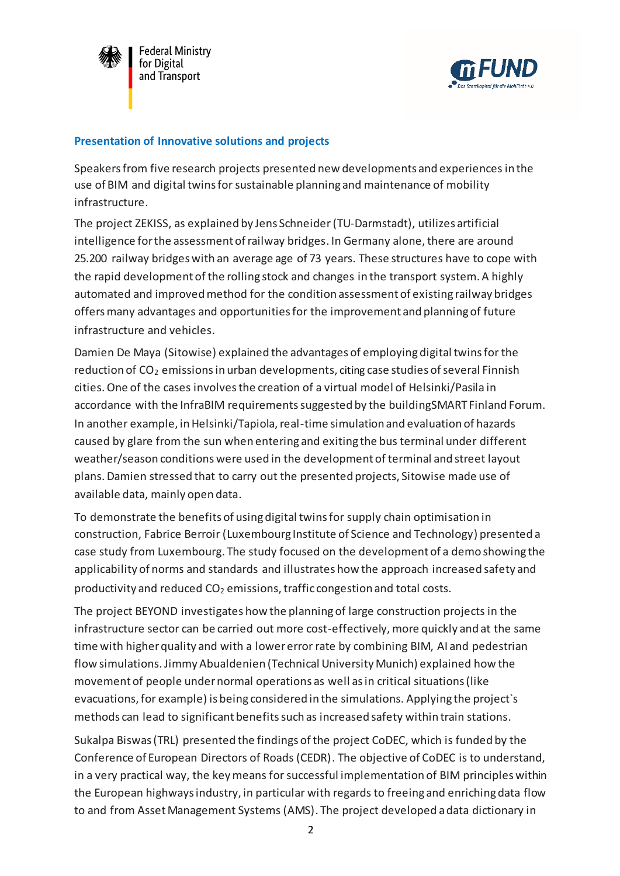



#### **Presentation of Innovative solutions and projects**

Speakers from five research projects presented new developments and experiences in the use of BIM and digital twins for sustainable planning and maintenance of mobility infrastructure.

The project ZEKISS, as explained by Jens Schneider(TU-Darmstadt), utilizes artificial intelligence for the assessment of railway bridges. In Germany alone, there are around 25.200 railway bridges with an average age of 73 years. These structures have to cope with the rapid development of the rolling stock and changes in the transport system. A highly automated and improved method for the condition assessment of existing railway bridges offers many advantages and opportunities for the improvement and planning of future infrastructure and vehicles.

Damien De Maya (Sitowise) explained the advantages of employing digital twins for the reduction of  $CO<sub>2</sub>$  emissions in urban developments, citing case studies of several Finnish cities.One of the cases involves the creation of a virtual model of Helsinki/Pasila in accordance with the InfraBIM requirements suggested by the buildingSMART Finland Forum. In another example, in Helsinki/Tapiola, real-time simulation and evaluation of hazards caused by glare from the sun when entering and exiting the bus terminal under different weather/season conditions were used in the development of terminal and street layout plans. Damien stressed that to carry out the presented projects, Sitowise made use of available data, mainly open data.

To demonstrate the benefits of using digital twins for supply chain optimisation in construction, Fabrice Berroir (Luxembourg Institute of Science and Technology) presented a case study from Luxembourg. The study focused on the development of a demo showing the applicability of norms and standards and illustrates how the approach increased safety and productivity and reduced  $CO<sub>2</sub>$  emissions, traffic congestion and total costs.

The project BEYOND investigates how the planning of large construction projects in the infrastructure sector can be carried out more cost-effectively, more quickly and at the same time with higher quality and with a lower error rate by combining BIM, AI and pedestrian flow simulations. Jimmy Abualdenien (Technical University Munich) explained how the movement of people undernormal operations as well asin critical situations (like evacuations, for example) is being considered in the simulations. Applying the project`s methods can lead to significant benefits such as increased safety within train stations.

Sukalpa Biswas (TRL) presented the findings of the project CoDEC, which is funded by the Conference of European Directors of Roads (CEDR). The objective of CoDEC is to understand, in a very practical way, the key means for successful implementation of BIM principles within the European highways industry, in particular with regards to freeing and enriching data flow to and from Asset Management Systems (AMS). The project developed a data dictionary in